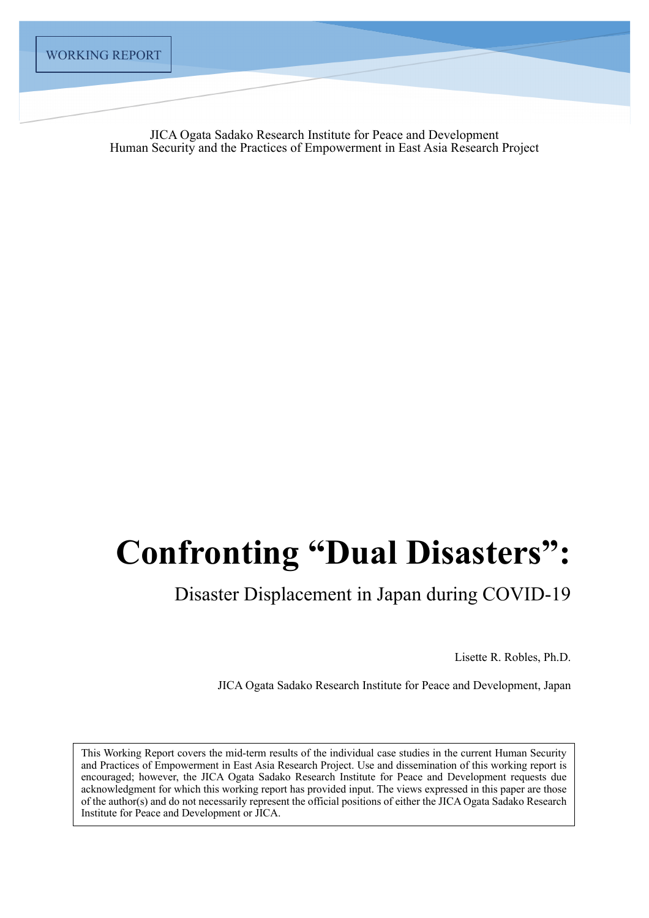JICA Ogata Sadako Research Institute for Peace and Development Human Security and the Practices of Empowerment in East Asia Research Project

# **Confronting "Dual Disasters":**

Disaster Displacement in Japan during COVID-19

Lisette R. Robles, Ph.D.

JICA Ogata Sadako Research Institute for Peace and Development, Japan

This Working Report covers the mid-term results of the individual case studies in the current Human Security and Practices of Empowerment in East Asia Research Project. Use and dissemination of this working report is encouraged; however, the JICA Ogata Sadako Research Institute for Peace and Development requests due acknowledgment for which this working report has provided input. The views expressed in this paper are those of the author(s) and do not necessarily represent the official positions of either the JICA Ogata Sadako Research Institute for Peace and Development or JICA.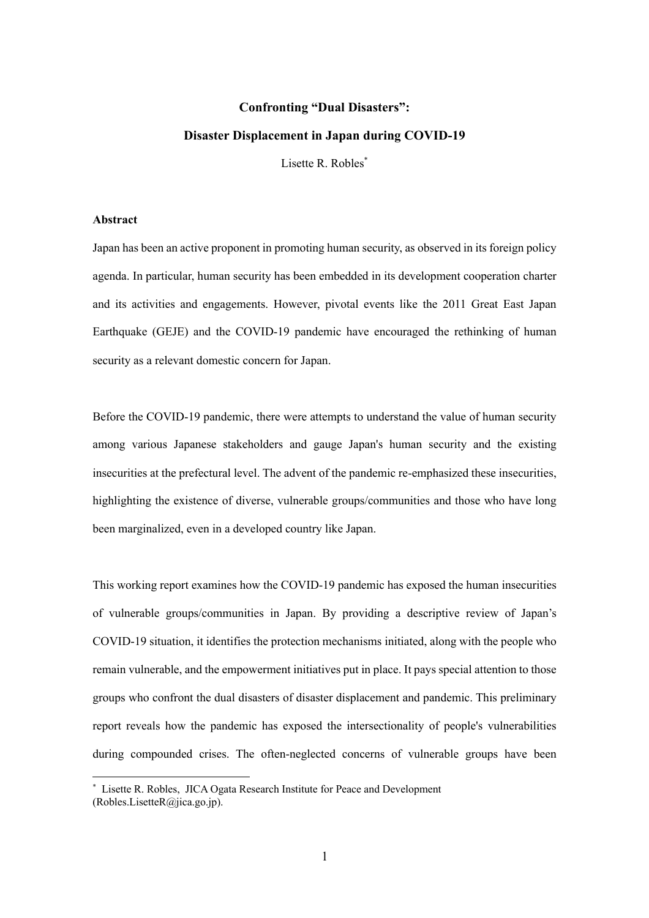## **Confronting "Dual Disasters":**

### **Disaster Displacement in Japan during COVID-19**

Lisette R. Robles<sup>\*</sup>

#### **Abstract**

Japan has been an active proponent in promoting human security, as observed in its foreign policy agenda. In particular, human security has been embedded in its development cooperation charter and its activities and engagements. However, pivotal events like the 2011 Great East Japan Earthquake (GEJE) and the COVID-19 pandemic have encouraged the rethinking of human security as a relevant domestic concern for Japan.

Before the COVID-19 pandemic, there were attempts to understand the value of human security among various Japanese stakeholders and gauge Japan's human security and the existing insecurities at the prefectural level. The advent of the pandemic re-emphasized these insecurities, highlighting the existence of diverse, vulnerable groups/communities and those who have long been marginalized, even in a developed country like Japan.

This working report examines how the COVID-19 pandemic has exposed the human insecurities of vulnerable groups/communities in Japan. By providing a descriptive review of Japan's COVID-19 situation, it identifies the protection mechanisms initiated, along with the people who remain vulnerable, and the empowerment initiatives put in place. It pays special attention to those groups who confront the dual disasters of disaster displacement and pandemic. This preliminary report reveals how the pandemic has exposed the intersectionality of people's vulnerabilities during compounded crises. The often-neglected concerns of vulnerable groups have been

<sup>\*</sup> Lisette R. Robles, JICA Ogata Research Institute for Peace and Development (Robles.LisetteR@jica.go.jp).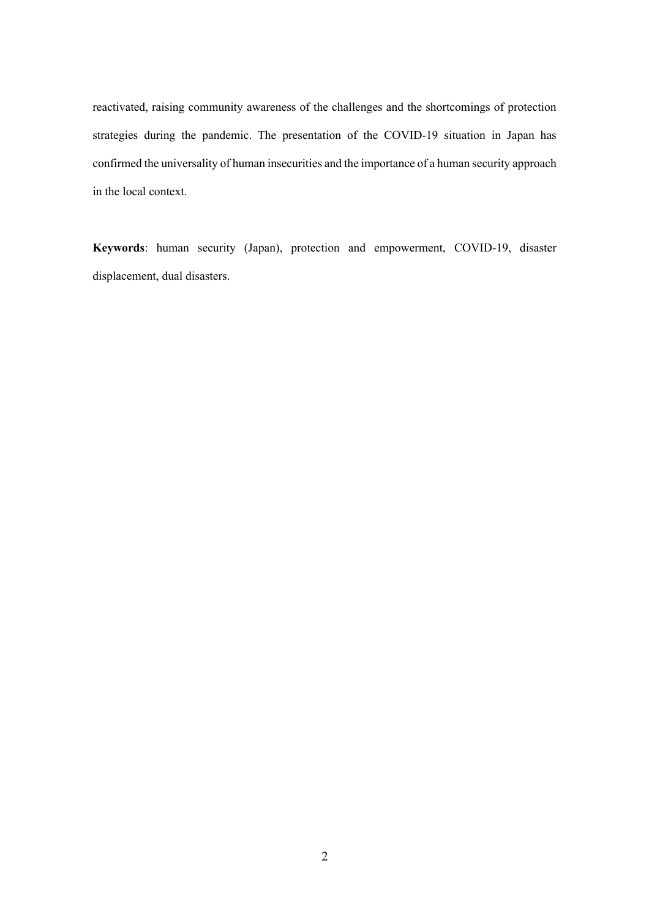reactivated, raising community awareness of the challenges and the shortcomings of protection strategies during the pandemic. The presentation of the COVID-19 situation in Japan has confirmed the universality of human insecurities and the importance of a human security approach in the local context.

**Keywords**: human security (Japan), protection and empowerment, COVID-19, disaster displacement, dual disasters.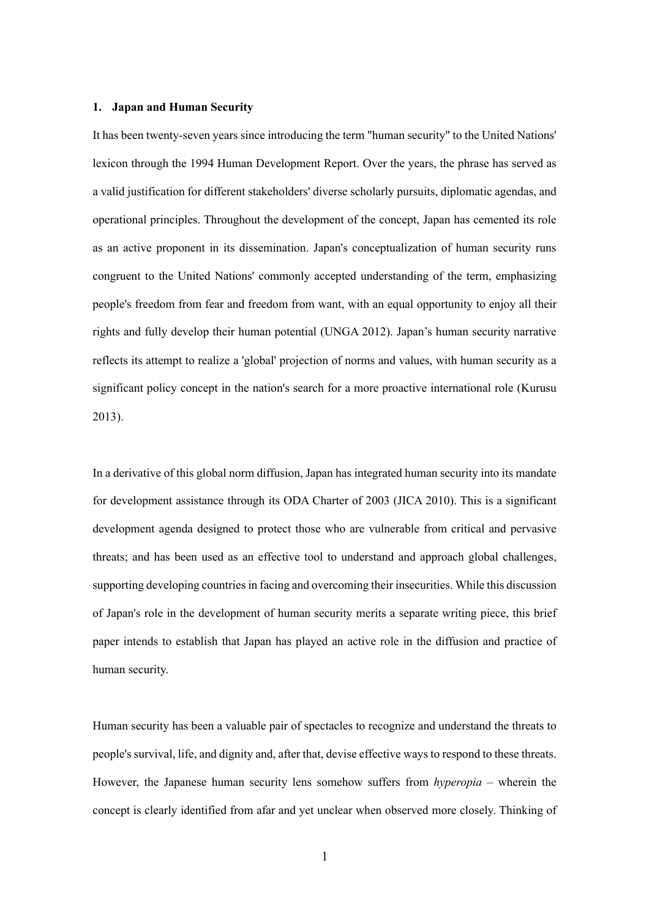#### **1. Japan and Human Security**

It has been twenty-seven years since introducing the term "human security" to the United Nations' lexicon through the 1994 Human Development Report. Over the years, the phrase has served as a valid justification for different stakeholders' diverse scholarly pursuits, diplomatic agendas, and operational principles. Throughout the development of the concept, Japan has cemented its role as an active proponent in its dissemination. Japan's conceptualization of human security runs congruent to the United Nations' commonly accepted understanding of the term, emphasizing people's freedom from fear and freedom from want, with an equal opportunity to enjoy all their rights and fully develop their human potential (UNGA 2012). Japan's human security narrative reflects its attempt to realize a 'global' projection of norms and values, with human security as a significant policy concept in the nation's search for a more proactive international role (Kurusu 2013).

In a derivative of this global norm diffusion, Japan has integrated human security into its mandate for development assistance through its ODA Charter of 2003 (JICA 2010). This is a significant development agenda designed to protect those who are vulnerable from critical and pervasive threats; and has been used as an effective tool to understand and approach global challenges, supporting developing countries in facing and overcoming their insecurities. While this discussion of Japan's role in the development of human security merits a separate writing piece, this brief paper intends to establish that Japan has played an active role in the diffusion and practice of human security.

Human security has been a valuable pair of spectacles to recognize and understand the threats to people's survival, life, and dignity and, after that, devise effective ways to respond to these threats. However, the Japanese human security lens somehow suffers from *hyperopia* – wherein the concept is clearly identified from afar and yet unclear when observed more closely. Thinking of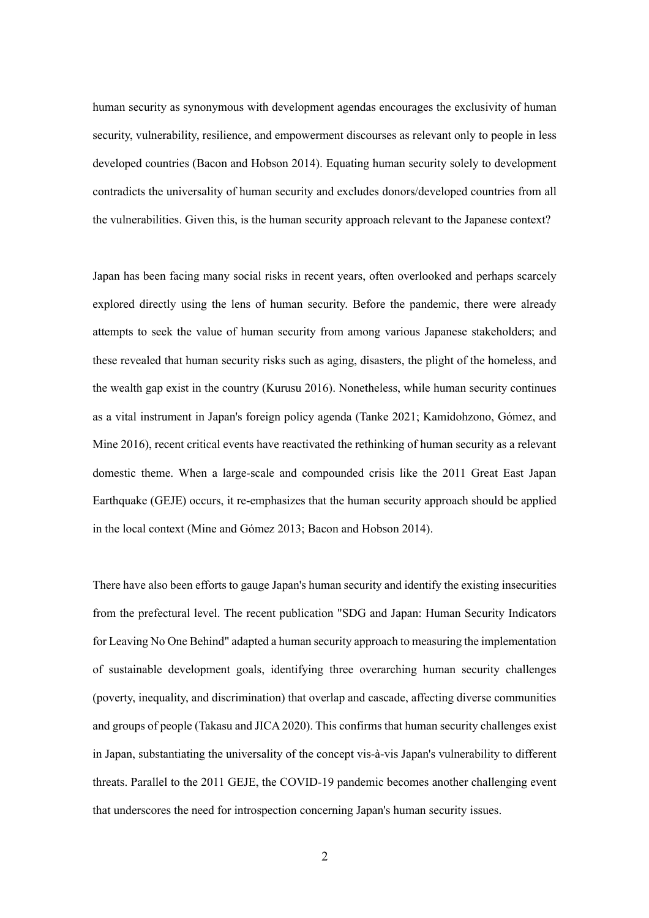human security as synonymous with development agendas encourages the exclusivity of human security, vulnerability, resilience, and empowerment discourses as relevant only to people in less developed countries (Bacon and Hobson 2014). Equating human security solely to development contradicts the universality of human security and excludes donors/developed countries from all the vulnerabilities. Given this, is the human security approach relevant to the Japanese context?

Japan has been facing many social risks in recent years, often overlooked and perhaps scarcely explored directly using the lens of human security. Before the pandemic, there were already attempts to seek the value of human security from among various Japanese stakeholders; and these revealed that human security risks such as aging, disasters, the plight of the homeless, and the wealth gap exist in the country (Kurusu 2016). Nonetheless, while human security continues as a vital instrument in Japan's foreign policy agenda (Tanke 2021; Kamidohzono, Gómez, and Mine 2016), recent critical events have reactivated the rethinking of human security as a relevant domestic theme. When a large-scale and compounded crisis like the 2011 Great East Japan Earthquake (GEJE) occurs, it re-emphasizes that the human security approach should be applied in the local context (Mine and Gómez 2013; Bacon and Hobson 2014).

There have also been efforts to gauge Japan's human security and identify the existing insecurities from the prefectural level. The recent publication "SDG and Japan: Human Security Indicators for Leaving No One Behind" adapted a human security approach to measuring the implementation of sustainable development goals, identifying three overarching human security challenges (poverty, inequality, and discrimination) that overlap and cascade, affecting diverse communities and groups of people (Takasu and JICA 2020). This confirms that human security challenges exist in Japan, substantiating the universality of the concept vis-à-vis Japan's vulnerability to different threats. Parallel to the 2011 GEJE, the COVID-19 pandemic becomes another challenging event that underscores the need for introspection concerning Japan's human security issues.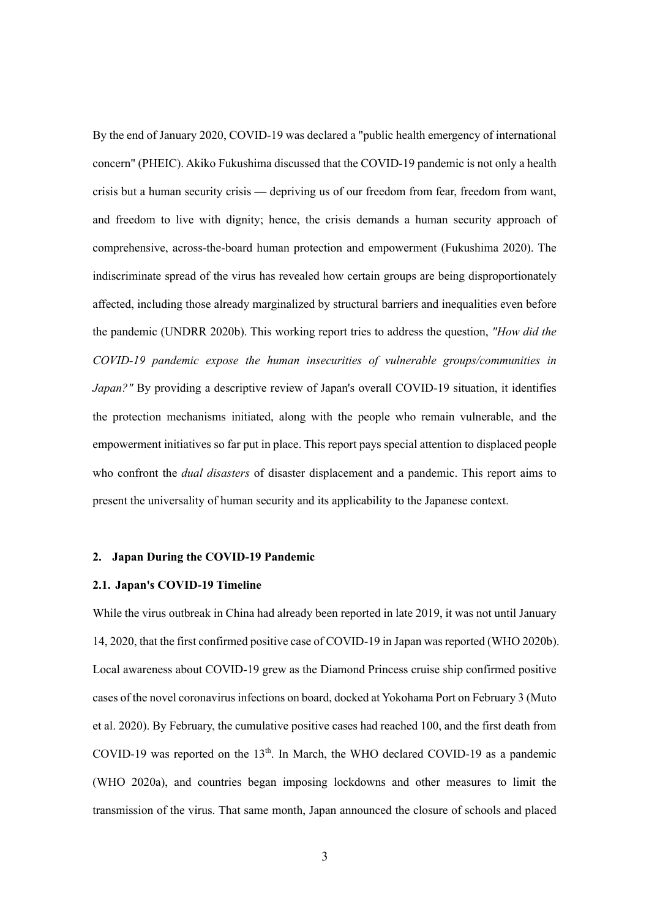By the end of January 2020, COVID-19 was declared a "public health emergency of international concern" (PHEIC). Akiko Fukushima discussed that the COVID-19 pandemic is not only a health crisis but a human security crisis — depriving us of our freedom from fear, freedom from want, and freedom to live with dignity; hence, the crisis demands a human security approach of comprehensive, across-the-board human protection and empowerment (Fukushima 2020). The indiscriminate spread of the virus has revealed how certain groups are being disproportionately affected, including those already marginalized by structural barriers and inequalities even before the pandemic (UNDRR 2020b). This working report tries to address the question, *"How did the COVID-19 pandemic expose the human insecurities of vulnerable groups/communities in Japan?"* By providing a descriptive review of Japan's overall COVID-19 situation, it identifies the protection mechanisms initiated, along with the people who remain vulnerable, and the empowerment initiatives so far put in place. This report pays special attention to displaced people who confront the *dual disasters* of disaster displacement and a pandemic. This report aims to present the universality of human security and its applicability to the Japanese context.

#### **2. Japan During the COVID-19 Pandemic**

#### **2.1. Japan's COVID-19 Timeline**

While the virus outbreak in China had already been reported in late 2019, it was not until January 14, 2020, that the first confirmed positive case of COVID-19 in Japan was reported (WHO 2020b). Local awareness about COVID-19 grew as the Diamond Princess cruise ship confirmed positive cases of the novel coronavirus infections on board, docked at Yokohama Port on February 3 (Muto et al. 2020). By February, the cumulative positive cases had reached 100, and the first death from COVID-19 was reported on the  $13<sup>th</sup>$ . In March, the WHO declared COVID-19 as a pandemic (WHO 2020a), and countries began imposing lockdowns and other measures to limit the transmission of the virus. That same month, Japan announced the closure of schools and placed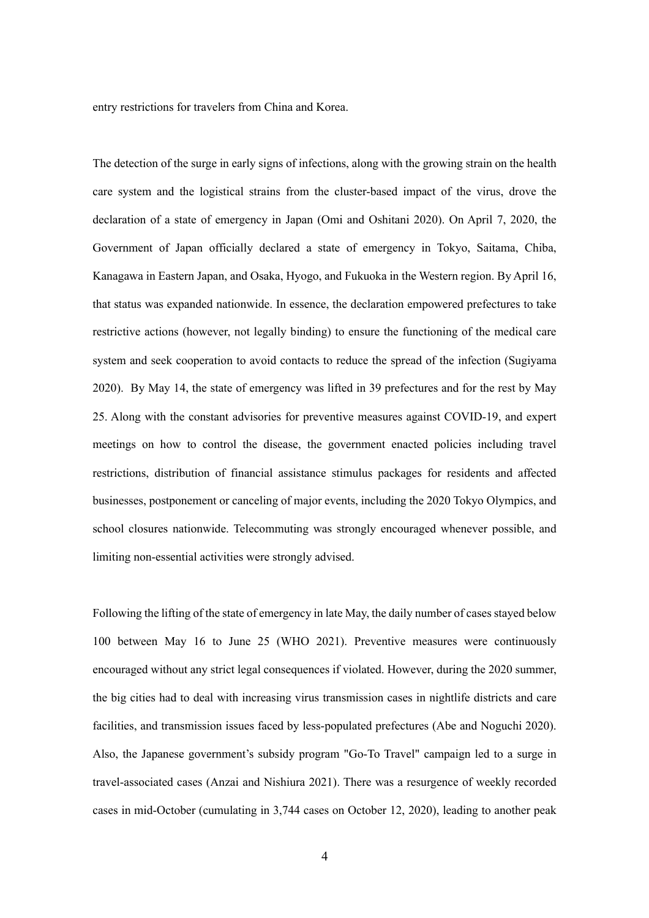entry restrictions for travelers from China and Korea.

The detection of the surge in early signs of infections, along with the growing strain on the health care system and the logistical strains from the cluster-based impact of the virus, drove the declaration of a state of emergency in Japan (Omi and Oshitani 2020). On April 7, 2020, the Government of Japan officially declared a state of emergency in Tokyo, Saitama, Chiba, Kanagawa in Eastern Japan, and Osaka, Hyogo, and Fukuoka in the Western region. By April 16, that status was expanded nationwide. In essence, the declaration empowered prefectures to take restrictive actions (however, not legally binding) to ensure the functioning of the medical care system and seek cooperation to avoid contacts to reduce the spread of the infection (Sugiyama 2020). By May 14, the state of emergency was lifted in 39 prefectures and for the rest by May 25. Along with the constant advisories for preventive measures against COVID-19, and expert meetings on how to control the disease, the government enacted policies including travel restrictions, distribution of financial assistance stimulus packages for residents and affected businesses, postponement or canceling of major events, including the 2020 Tokyo Olympics, and school closures nationwide. Telecommuting was strongly encouraged whenever possible, and limiting non-essential activities were strongly advised.

Following the lifting of the state of emergency in late May, the daily number of cases stayed below 100 between May 16 to June 25 (WHO 2021). Preventive measures were continuously encouraged without any strict legal consequences if violated. However, during the 2020 summer, the big cities had to deal with increasing virus transmission cases in nightlife districts and care facilities, and transmission issues faced by less-populated prefectures (Abe and Noguchi 2020). Also, the Japanese government's subsidy program "Go-To Travel" campaign led to a surge in travel-associated cases (Anzai and Nishiura 2021). There was a resurgence of weekly recorded cases in mid-October (cumulating in 3,744 cases on October 12, 2020), leading to another peak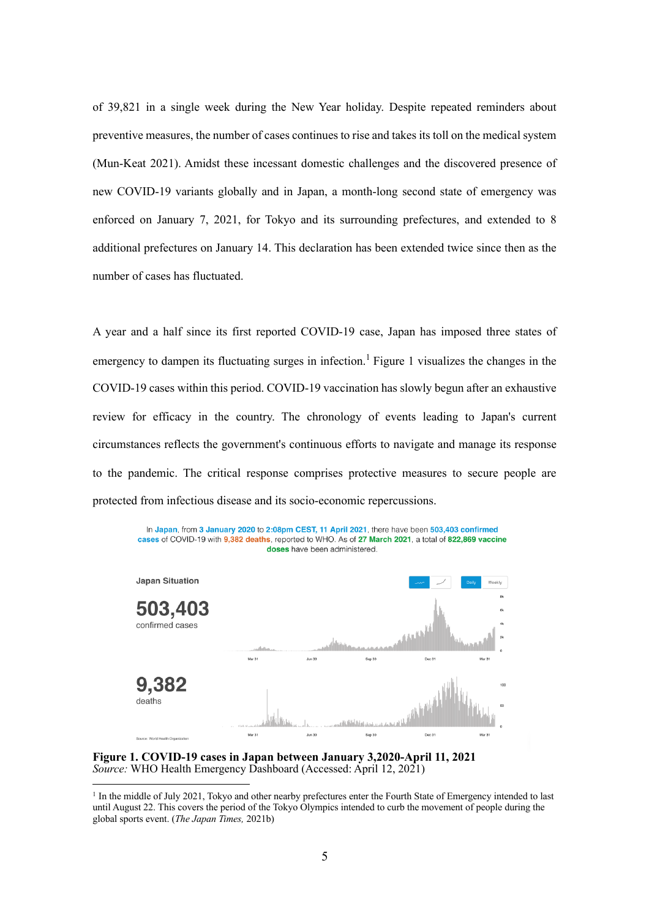of 39,821 in a single week during the New Year holiday. Despite repeated reminders about preventive measures, the number of cases continues to rise and takes its toll on the medical system (Mun-Keat 2021). Amidst these incessant domestic challenges and the discovered presence of new COVID-19 variants globally and in Japan, a month-long second state of emergency was enforced on January 7, 2021, for Tokyo and its surrounding prefectures, and extended to 8 additional prefectures on January 14. This declaration has been extended twice since then as the number of cases has fluctuated.

A year and a half since its first reported COVID-19 case, Japan has imposed three states of emergency to dampen its fluctuating surges in infection.<sup>1</sup> Figure 1 visualizes the changes in the COVID-19 cases within this period. COVID-19 vaccination has slowly begun after an exhaustive review for efficacy in the country. The chronology of events leading to Japan's current circumstances reflects the government's continuous efforts to navigate and manage its response to the pandemic. The critical response comprises protective measures to secure people are protected from infectious disease and its socio-economic repercussions.



**Figure 1. COVID-19 cases in Japan between January 3,2020-April 11, 2021** *Source:* WHO Health Emergency Dashboard (Accessed: April 12, 2021)

 $1$  In the middle of July 2021, Tokyo and other nearby prefectures enter the Fourth State of Emergency intended to last until August 22. This covers the period of the Tokyo Olympics intended to curb the movement of people during the global sports event. (*The Japan Times,* 2021b)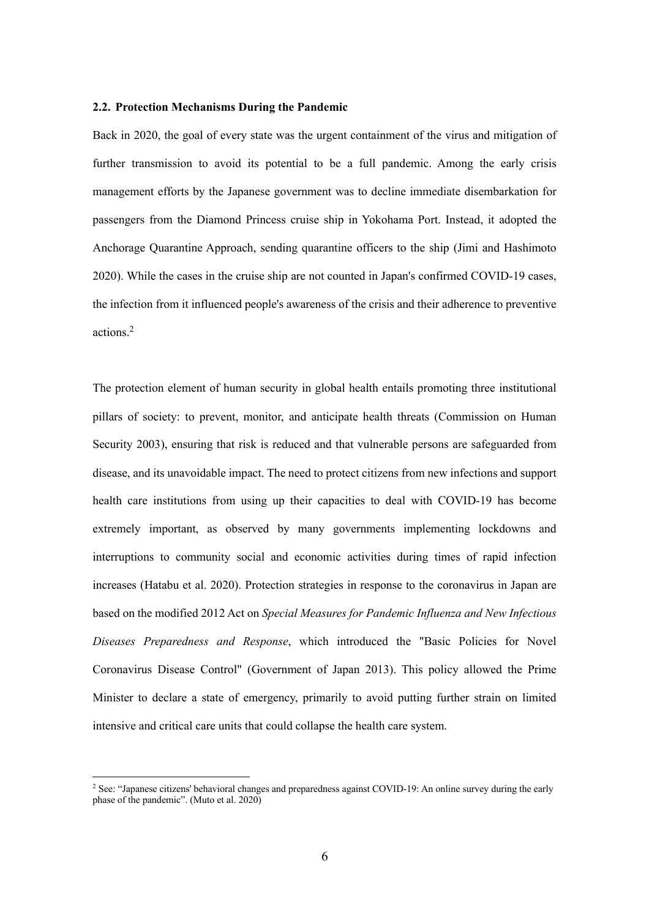#### **2.2. Protection Mechanisms During the Pandemic**

Back in 2020, the goal of every state was the urgent containment of the virus and mitigation of further transmission to avoid its potential to be a full pandemic. Among the early crisis management efforts by the Japanese government was to decline immediate disembarkation for passengers from the Diamond Princess cruise ship in Yokohama Port. Instead, it adopted the Anchorage Quarantine Approach, sending quarantine officers to the ship (Jimi and Hashimoto 2020). While the cases in the cruise ship are not counted in Japan's confirmed COVID-19 cases, the infection from it influenced people's awareness of the crisis and their adherence to preventive actions.2

The protection element of human security in global health entails promoting three institutional pillars of society: to prevent, monitor, and anticipate health threats (Commission on Human Security 2003), ensuring that risk is reduced and that vulnerable persons are safeguarded from disease, and its unavoidable impact. The need to protect citizens from new infections and support health care institutions from using up their capacities to deal with COVID-19 has become extremely important, as observed by many governments implementing lockdowns and interruptions to community social and economic activities during times of rapid infection increases (Hatabu et al. 2020). Protection strategies in response to the coronavirus in Japan are based on the modified 2012 Act on *Special Measures for Pandemic Influenza and New Infectious Diseases Preparedness and Response*, which introduced the "Basic Policies for Novel Coronavirus Disease Control" (Government of Japan 2013). This policy allowed the Prime Minister to declare a state of emergency, primarily to avoid putting further strain on limited intensive and critical care units that could collapse the health care system.

<sup>2</sup> See: "Japanese citizens' behavioral changes and preparedness against COVID-19: An online survey during the early phase of the pandemic". (Muto et al. 2020)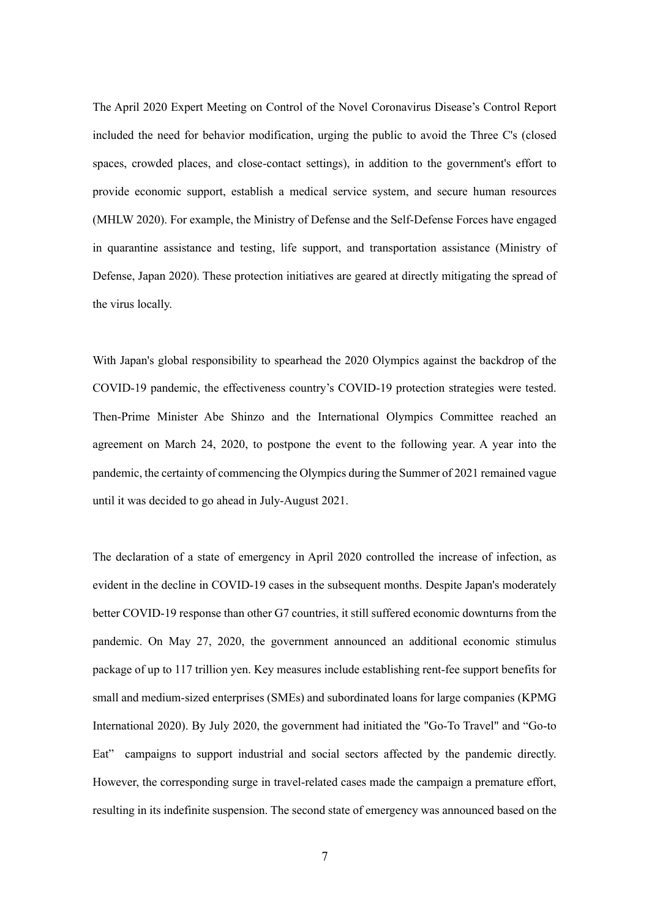The April 2020 Expert Meeting on Control of the Novel Coronavirus Disease's Control Report included the need for behavior modification, urging the public to avoid the Three C's (closed spaces, crowded places, and close-contact settings), in addition to the government's effort to provide economic support, establish a medical service system, and secure human resources (MHLW 2020). For example, the Ministry of Defense and the Self-Defense Forces have engaged in quarantine assistance and testing, life support, and transportation assistance (Ministry of Defense, Japan 2020). These protection initiatives are geared at directly mitigating the spread of the virus locally.

With Japan's global responsibility to spearhead the 2020 Olympics against the backdrop of the COVID-19 pandemic, the effectiveness country's COVID-19 protection strategies were tested. Then-Prime Minister Abe Shinzo and the International Olympics Committee reached an agreement on March 24, 2020, to postpone the event to the following year. A year into the pandemic, the certainty of commencing the Olympics during the Summer of 2021 remained vague until it was decided to go ahead in July-August 2021.

The declaration of a state of emergency in April 2020 controlled the increase of infection, as evident in the decline in COVID-19 cases in the subsequent months. Despite Japan's moderately better COVID-19 response than other G7 countries, it still suffered economic downturns from the pandemic. On May 27, 2020, the government announced an additional economic stimulus package of up to 117 trillion yen. Key measures include establishing rent-fee support benefits for small and medium-sized enterprises (SMEs) and subordinated loans for large companies (KPMG International 2020). By July 2020, the government had initiated the "Go-To Travel" and "Go-to Eat" campaigns to support industrial and social sectors affected by the pandemic directly. However, the corresponding surge in travel-related cases made the campaign a premature effort, resulting in its indefinite suspension. The second state of emergency was announced based on the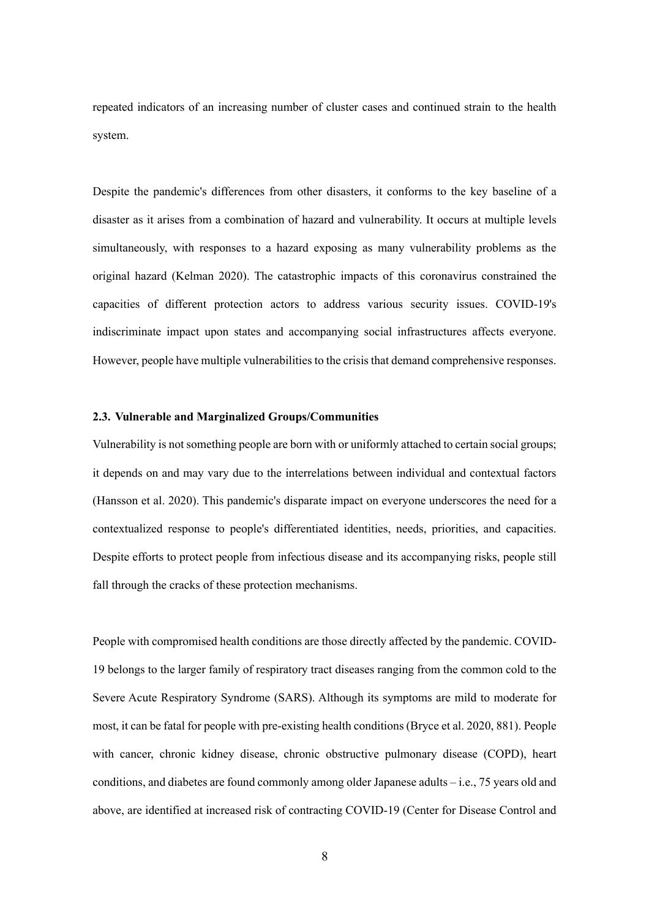repeated indicators of an increasing number of cluster cases and continued strain to the health system.

Despite the pandemic's differences from other disasters, it conforms to the key baseline of a disaster as it arises from a combination of hazard and vulnerability. It occurs at multiple levels simultaneously, with responses to a hazard exposing as many vulnerability problems as the original hazard (Kelman 2020). The catastrophic impacts of this coronavirus constrained the capacities of different protection actors to address various security issues. COVID-19's indiscriminate impact upon states and accompanying social infrastructures affects everyone. However, people have multiple vulnerabilities to the crisisthat demand comprehensive responses.

#### **2.3. Vulnerable and Marginalized Groups/Communities**

Vulnerability is not something people are born with or uniformly attached to certain social groups; it depends on and may vary due to the interrelations between individual and contextual factors (Hansson et al. 2020). This pandemic's disparate impact on everyone underscores the need for a contextualized response to people's differentiated identities, needs, priorities, and capacities. Despite efforts to protect people from infectious disease and its accompanying risks, people still fall through the cracks of these protection mechanisms.

People with compromised health conditions are those directly affected by the pandemic. COVID-19 belongs to the larger family of respiratory tract diseases ranging from the common cold to the Severe Acute Respiratory Syndrome (SARS). Although its symptoms are mild to moderate for most, it can be fatal for people with pre-existing health conditions (Bryce et al. 2020, 881). People with cancer, chronic kidney disease, chronic obstructive pulmonary disease (COPD), heart conditions, and diabetes are found commonly among older Japanese adults – i.e., 75 years old and above, are identified at increased risk of contracting COVID-19 (Center for Disease Control and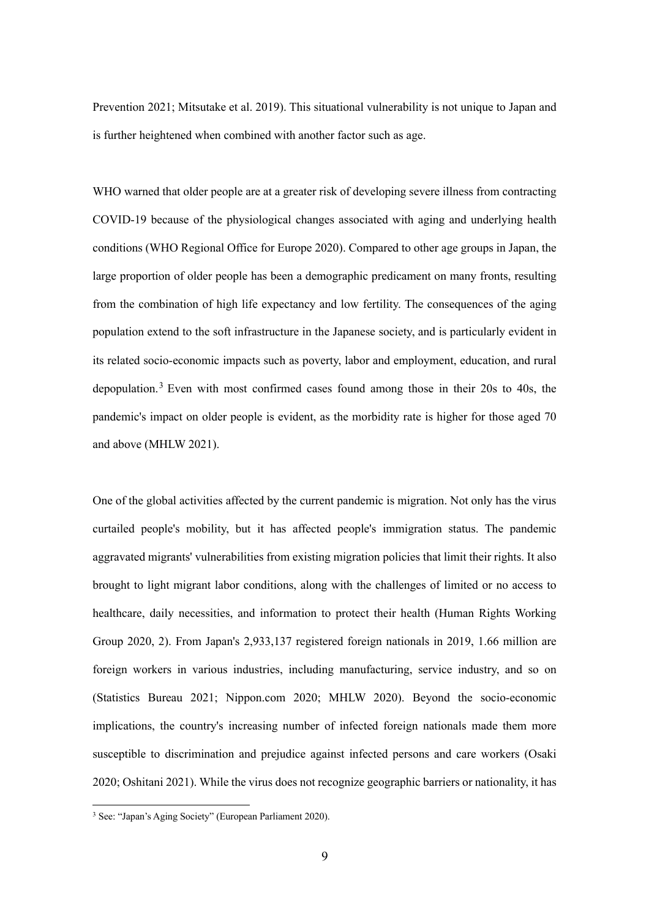Prevention 2021; Mitsutake et al. 2019). This situational vulnerability is not unique to Japan and is further heightened when combined with another factor such as age.

WHO warned that older people are at a greater risk of developing severe illness from contracting COVID-19 because of the physiological changes associated with aging and underlying health conditions (WHO Regional Office for Europe 2020). Compared to other age groups in Japan, the large proportion of older people has been a demographic predicament on many fronts, resulting from the combination of high life expectancy and low fertility. The consequences of the aging population extend to the soft infrastructure in the Japanese society, and is particularly evident in its related socio-economic impacts such as poverty, labor and employment, education, and rural depopulation.<sup>3</sup> Even with most confirmed cases found among those in their 20s to 40s, the pandemic's impact on older people is evident, as the morbidity rate is higher for those aged 70 and above (MHLW 2021).

One of the global activities affected by the current pandemic is migration. Not only has the virus curtailed people's mobility, but it has affected people's immigration status. The pandemic aggravated migrants' vulnerabilities from existing migration policies that limit their rights. It also brought to light migrant labor conditions, along with the challenges of limited or no access to healthcare, daily necessities, and information to protect their health (Human Rights Working Group 2020, 2). From Japan's 2,933,137 registered foreign nationals in 2019, 1.66 million are foreign workers in various industries, including manufacturing, service industry, and so on (Statistics Bureau 2021; Nippon.com 2020; MHLW 2020). Beyond the socio-economic implications, the country's increasing number of infected foreign nationals made them more susceptible to discrimination and prejudice against infected persons and care workers (Osaki 2020; Oshitani 2021). While the virus does not recognize geographic barriers or nationality, it has

<sup>3</sup> See: "Japan's Aging Society" (European Parliament 2020).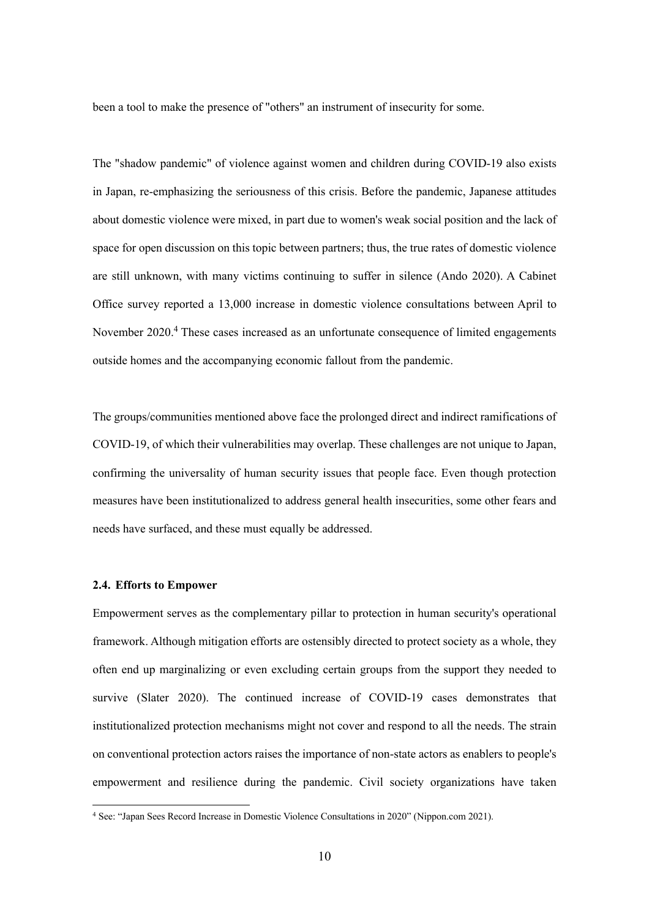been a tool to make the presence of "others" an instrument of insecurity for some.

The "shadow pandemic" of violence against women and children during COVID-19 also exists in Japan, re-emphasizing the seriousness of this crisis. Before the pandemic, Japanese attitudes about domestic violence were mixed, in part due to women's weak social position and the lack of space for open discussion on this topic between partners; thus, the true rates of domestic violence are still unknown, with many victims continuing to suffer in silence (Ando 2020). A Cabinet Office survey reported a 13,000 increase in domestic violence consultations between April to November 2020.<sup>4</sup> These cases increased as an unfortunate consequence of limited engagements outside homes and the accompanying economic fallout from the pandemic.

The groups/communities mentioned above face the prolonged direct and indirect ramifications of COVID-19, of which their vulnerabilities may overlap. These challenges are not unique to Japan, confirming the universality of human security issues that people face. Even though protection measures have been institutionalized to address general health insecurities, some other fears and needs have surfaced, and these must equally be addressed.

#### **2.4. Efforts to Empower**

Empowerment serves as the complementary pillar to protection in human security's operational framework. Although mitigation efforts are ostensibly directed to protect society as a whole, they often end up marginalizing or even excluding certain groups from the support they needed to survive (Slater 2020). The continued increase of COVID-19 cases demonstrates that institutionalized protection mechanisms might not cover and respond to all the needs. The strain on conventional protection actors raises the importance of non-state actors as enablers to people's empowerment and resilience during the pandemic. Civil society organizations have taken

<sup>4</sup> See: "Japan Sees Record Increase in Domestic Violence Consultations in 2020" (Nippon.com 2021).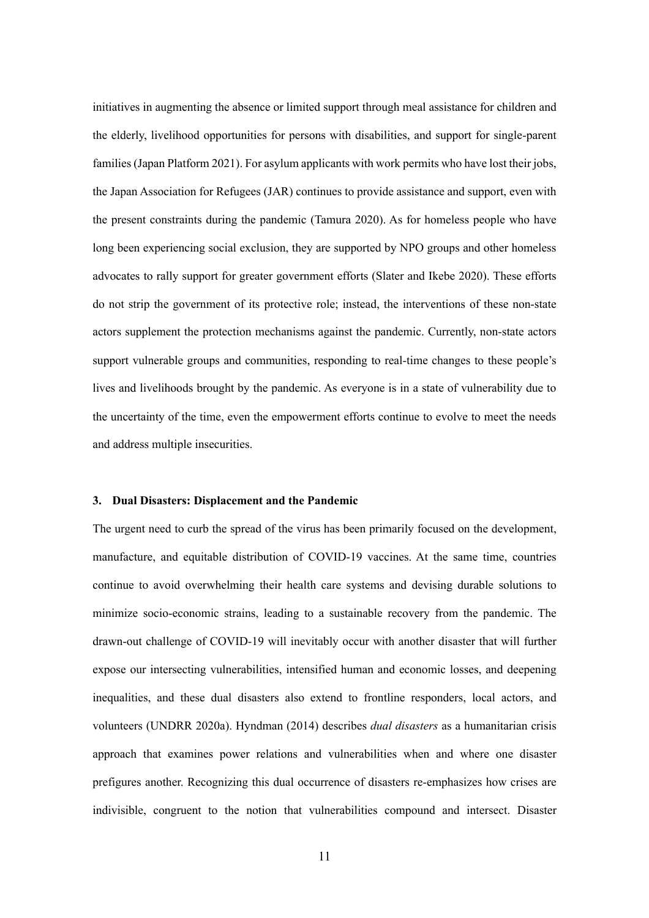initiatives in augmenting the absence or limited support through meal assistance for children and the elderly, livelihood opportunities for persons with disabilities, and support for single-parent families (Japan Platform 2021). For asylum applicants with work permits who have lost their jobs, the Japan Association for Refugees (JAR) continues to provide assistance and support, even with the present constraints during the pandemic (Tamura 2020). As for homeless people who have long been experiencing social exclusion, they are supported by NPO groups and other homeless advocates to rally support for greater government efforts (Slater and Ikebe 2020). These efforts do not strip the government of its protective role; instead, the interventions of these non-state actors supplement the protection mechanisms against the pandemic. Currently, non-state actors support vulnerable groups and communities, responding to real-time changes to these people's lives and livelihoods brought by the pandemic. As everyone is in a state of vulnerability due to the uncertainty of the time, even the empowerment efforts continue to evolve to meet the needs and address multiple insecurities.

#### **3. Dual Disasters: Displacement and the Pandemic**

The urgent need to curb the spread of the virus has been primarily focused on the development, manufacture, and equitable distribution of COVID-19 vaccines. At the same time, countries continue to avoid overwhelming their health care systems and devising durable solutions to minimize socio-economic strains, leading to a sustainable recovery from the pandemic. The drawn-out challenge of COVID-19 will inevitably occur with another disaster that will further expose our intersecting vulnerabilities, intensified human and economic losses, and deepening inequalities, and these dual disasters also extend to frontline responders, local actors, and volunteers (UNDRR 2020a). Hyndman (2014) describes *dual disasters* as a humanitarian crisis approach that examines power relations and vulnerabilities when and where one disaster prefigures another. Recognizing this dual occurrence of disasters re-emphasizes how crises are indivisible, congruent to the notion that vulnerabilities compound and intersect. Disaster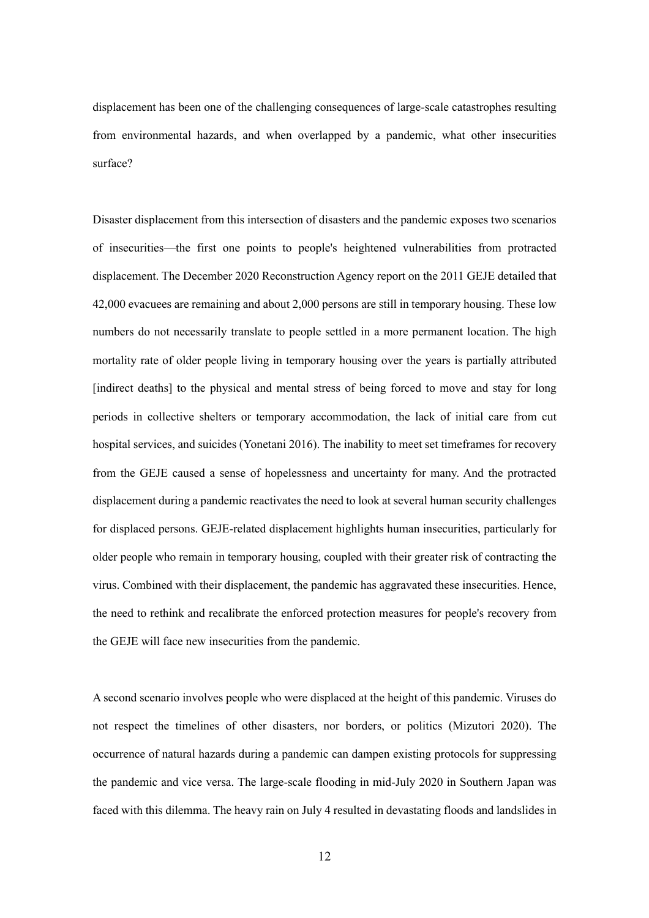displacement has been one of the challenging consequences of large-scale catastrophes resulting from environmental hazards, and when overlapped by a pandemic, what other insecurities surface?

Disaster displacement from this intersection of disasters and the pandemic exposes two scenarios of insecurities—the first one points to people's heightened vulnerabilities from protracted displacement. The December 2020 Reconstruction Agency report on the 2011 GEJE detailed that 42,000 evacuees are remaining and about 2,000 persons are still in temporary housing. These low numbers do not necessarily translate to people settled in a more permanent location. The high mortality rate of older people living in temporary housing over the years is partially attributed [indirect deaths] to the physical and mental stress of being forced to move and stay for long periods in collective shelters or temporary accommodation, the lack of initial care from cut hospital services, and suicides (Yonetani 2016). The inability to meet set timeframes for recovery from the GEJE caused a sense of hopelessness and uncertainty for many. And the protracted displacement during a pandemic reactivates the need to look at several human security challenges for displaced persons. GEJE-related displacement highlights human insecurities, particularly for older people who remain in temporary housing, coupled with their greater risk of contracting the virus. Combined with their displacement, the pandemic has aggravated these insecurities. Hence, the need to rethink and recalibrate the enforced protection measures for people's recovery from the GEJE will face new insecurities from the pandemic.

A second scenario involves people who were displaced at the height of this pandemic. Viruses do not respect the timelines of other disasters, nor borders, or politics (Mizutori 2020). The occurrence of natural hazards during a pandemic can dampen existing protocols for suppressing the pandemic and vice versa. The large-scale flooding in mid-July 2020 in Southern Japan was faced with this dilemma. The heavy rain on July 4 resulted in devastating floods and landslides in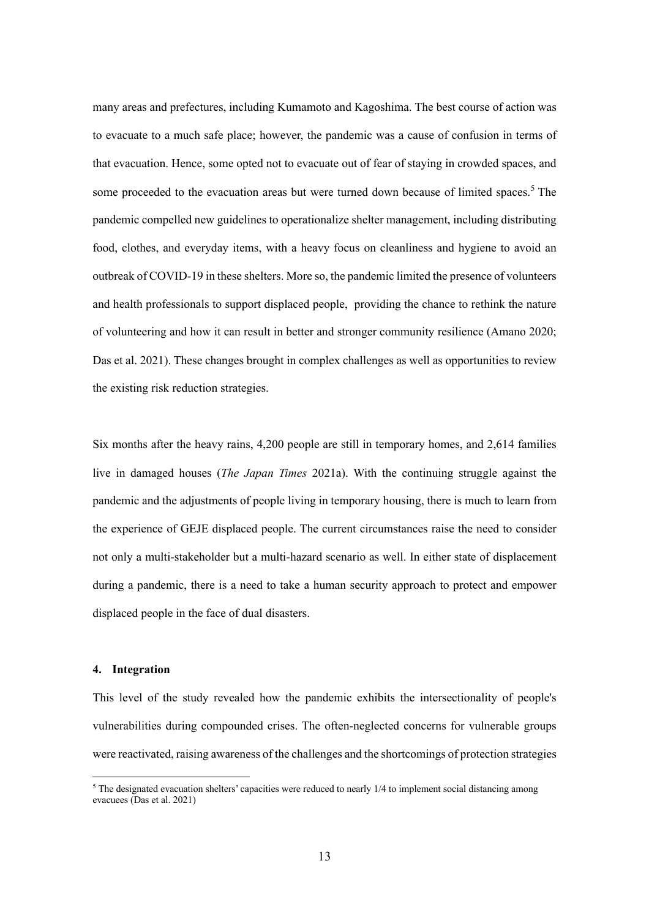many areas and prefectures, including Kumamoto and Kagoshima. The best course of action was to evacuate to a much safe place; however, the pandemic was a cause of confusion in terms of that evacuation. Hence, some opted not to evacuate out of fear of staying in crowded spaces, and some proceeded to the evacuation areas but were turned down because of limited spaces.<sup>5</sup> The pandemic compelled new guidelines to operationalize shelter management, including distributing food, clothes, and everyday items, with a heavy focus on cleanliness and hygiene to avoid an outbreak of COVID-19 in these shelters. More so, the pandemic limited the presence of volunteers and health professionals to support displaced people, providing the chance to rethink the nature of volunteering and how it can result in better and stronger community resilience (Amano 2020; Das et al. 2021). These changes brought in complex challenges as well as opportunities to review the existing risk reduction strategies.

Six months after the heavy rains, 4,200 people are still in temporary homes, and 2,614 families live in damaged houses (*The Japan Times* 2021a). With the continuing struggle against the pandemic and the adjustments of people living in temporary housing, there is much to learn from the experience of GEJE displaced people. The current circumstances raise the need to consider not only a multi-stakeholder but a multi-hazard scenario as well. In either state of displacement during a pandemic, there is a need to take a human security approach to protect and empower displaced people in the face of dual disasters.

#### **4. Integration**

This level of the study revealed how the pandemic exhibits the intersectionality of people's vulnerabilities during compounded crises. The often-neglected concerns for vulnerable groups were reactivated, raising awareness of the challenges and the shortcomings of protection strategies

 $5$  The designated evacuation shelters' capacities were reduced to nearly  $1/4$  to implement social distancing among evacuees (Das et al. 2021)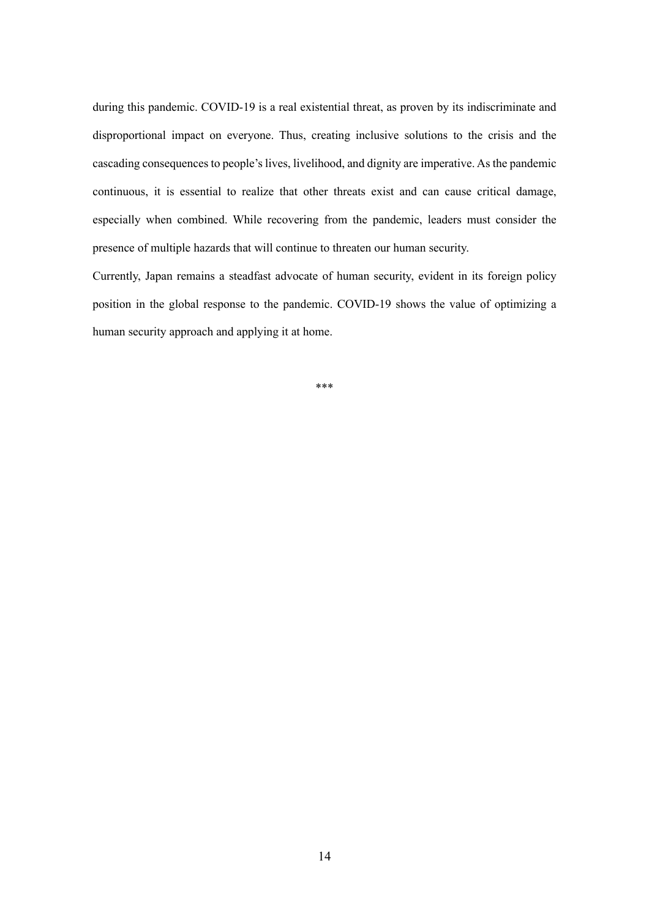during this pandemic. COVID-19 is a real existential threat, as proven by its indiscriminate and disproportional impact on everyone. Thus, creating inclusive solutions to the crisis and the cascading consequences to people's lives, livelihood, and dignity are imperative. As the pandemic continuous, it is essential to realize that other threats exist and can cause critical damage, especially when combined. While recovering from the pandemic, leaders must consider the presence of multiple hazards that will continue to threaten our human security.

Currently, Japan remains a steadfast advocate of human security, evident in its foreign policy position in the global response to the pandemic. COVID-19 shows the value of optimizing a human security approach and applying it at home.

\*\*\*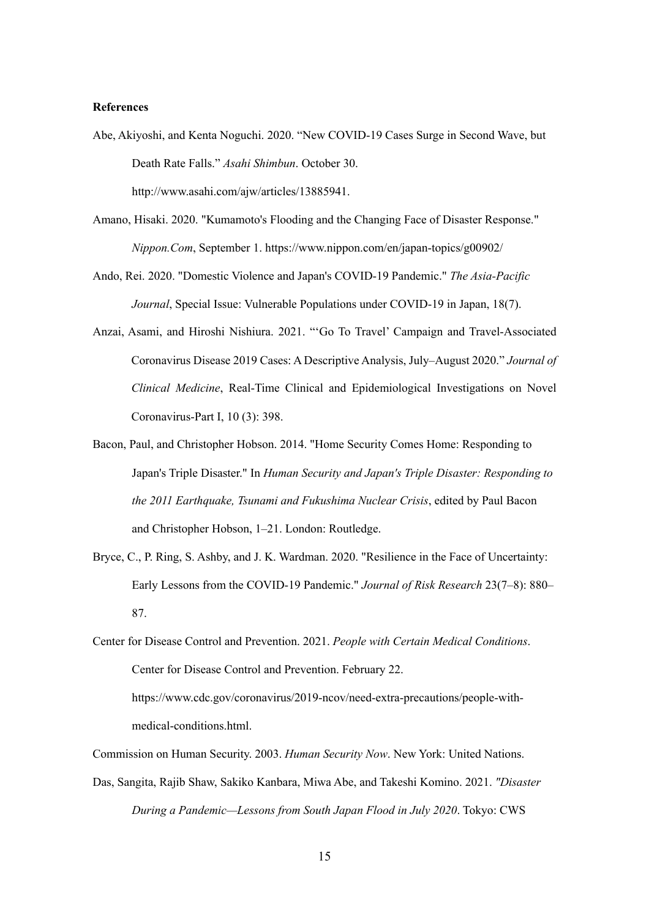#### **References**

Abe, Akiyoshi, and Kenta Noguchi. 2020. "New COVID-19 Cases Surge in Second Wave, but Death Rate Falls." *Asahi Shimbun*. October 30.

http://www.asahi.com/ajw/articles/13885941.

- Amano, Hisaki. 2020. "Kumamoto's Flooding and the Changing Face of Disaster Response." *Nippon.Com*, September 1. https://www.nippon.com/en/japan-topics/g00902/
- Ando, Rei. 2020. "Domestic Violence and Japan's COVID-19 Pandemic." *The Asia-Pacific Journal*, Special Issue: Vulnerable Populations under COVID-19 in Japan, 18(7).
- Anzai, Asami, and Hiroshi Nishiura. 2021. "'Go To Travel' Campaign and Travel-Associated Coronavirus Disease 2019 Cases: A Descriptive Analysis, July–August 2020." *Journal of Clinical Medicine*, Real-Time Clinical and Epidemiological Investigations on Novel Coronavirus-Part I, 10 (3): 398.
- Bacon, Paul, and Christopher Hobson. 2014. "Home Security Comes Home: Responding to Japan's Triple Disaster." In *Human Security and Japan's Triple Disaster: Responding to the 2011 Earthquake, Tsunami and Fukushima Nuclear Crisis*, edited by Paul Bacon and Christopher Hobson, 1–21. London: Routledge.
- Bryce, C., P. Ring, S. Ashby, and J. K. Wardman. 2020. "Resilience in the Face of Uncertainty: Early Lessons from the COVID-19 Pandemic." *Journal of Risk Research* 23(7–8): 880– 87.
- Center for Disease Control and Prevention. 2021. *People with Certain Medical Conditions*. Center for Disease Control and Prevention. February 22. https://www.cdc.gov/coronavirus/2019-ncov/need-extra-precautions/people-withmedical-conditions.html.

Commission on Human Security. 2003. *Human Security Now*. New York: United Nations.

Das, Sangita, Rajib Shaw, Sakiko Kanbara, Miwa Abe, and Takeshi Komino. 2021. *"Disaster During a Pandemic—Lessons from South Japan Flood in July 2020*. Tokyo: CWS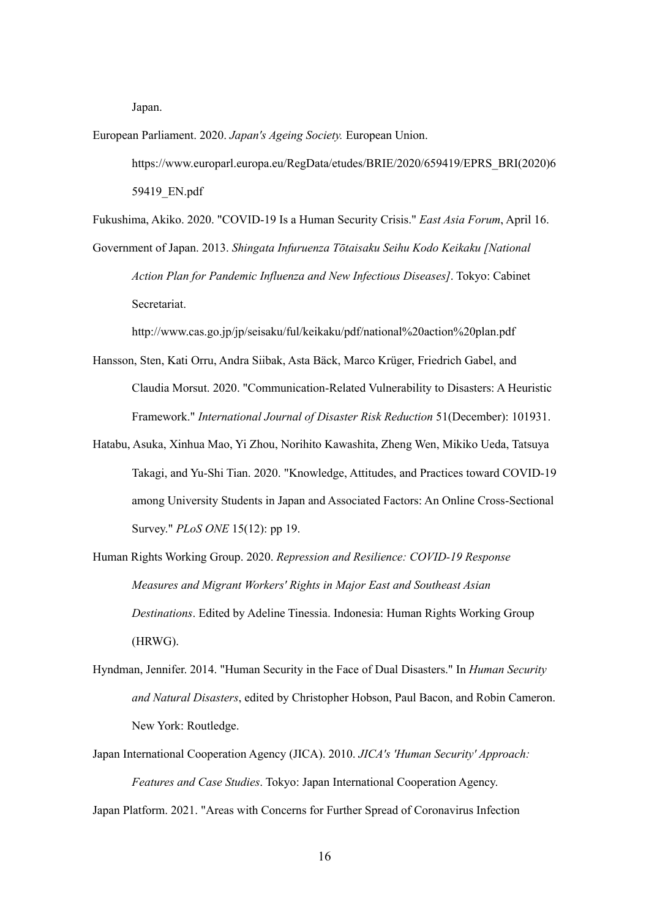Japan.

European Parliament. 2020. *Japan's Ageing Society.* European Union. https://www.europarl.europa.eu/RegData/etudes/BRIE/2020/659419/EPRS\_BRI(2020)6 59419\_EN.pdf

Fukushima, Akiko. 2020. "COVID-19 Is a Human Security Crisis." *East Asia Forum*, April 16.

Government of Japan. 2013. *Shingata Infuruenza Tōtaisaku Seihu Kodo Keikaku [National Action Plan for Pandemic Influenza and New Infectious Diseases]*. Tokyo: Cabinet Secretariat.

http://www.cas.go.jp/jp/seisaku/ful/keikaku/pdf/national%20action%20plan.pdf

- Hansson, Sten, Kati Orru, Andra Siibak, Asta Bäck, Marco Krüger, Friedrich Gabel, and Claudia Morsut. 2020. "Communication-Related Vulnerability to Disasters: A Heuristic Framework." *International Journal of Disaster Risk Reduction* 51(December): 101931.
- Hatabu, Asuka, Xinhua Mao, Yi Zhou, Norihito Kawashita, Zheng Wen, Mikiko Ueda, Tatsuya Takagi, and Yu-Shi Tian. 2020. "Knowledge, Attitudes, and Practices toward COVID-19 among University Students in Japan and Associated Factors: An Online Cross-Sectional Survey." *PLoS ONE* 15(12): pp 19.
- Human Rights Working Group. 2020. *Repression and Resilience: COVID-19 Response Measures and Migrant Workers' Rights in Major East and Southeast Asian Destinations*. Edited by Adeline Tinessia. Indonesia: Human Rights Working Group (HRWG).
- Hyndman, Jennifer. 2014. "Human Security in the Face of Dual Disasters." In *Human Security and Natural Disasters*, edited by Christopher Hobson, Paul Bacon, and Robin Cameron. New York: Routledge.
- Japan International Cooperation Agency (JICA). 2010. *JICA's 'Human Security' Approach: Features and Case Studies*. Tokyo: Japan International Cooperation Agency.

Japan Platform. 2021. "Areas with Concerns for Further Spread of Coronavirus Infection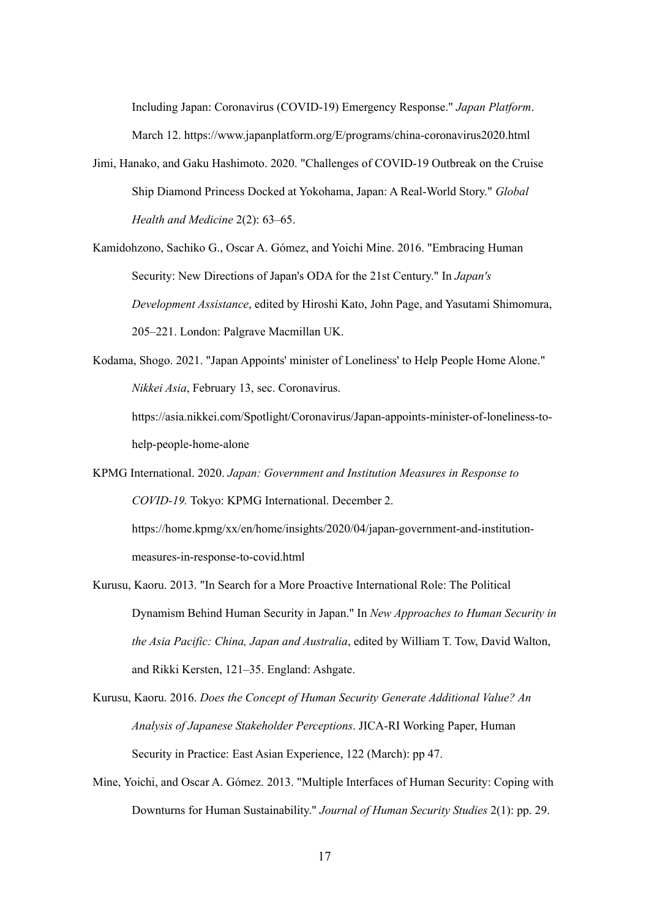Including Japan: Coronavirus (COVID-19) Emergency Response." *Japan Platform*. March 12. https://www.japanplatform.org/E/programs/china-coronavirus2020.html

- Jimi, Hanako, and Gaku Hashimoto. 2020. "Challenges of COVID-19 Outbreak on the Cruise Ship Diamond Princess Docked at Yokohama, Japan: A Real-World Story." *Global Health and Medicine* 2(2): 63–65.
- Kamidohzono, Sachiko G., Oscar A. Gómez, and Yoichi Mine. 2016. "Embracing Human Security: New Directions of Japan's ODA for the 21st Century." In *Japan's Development Assistance*, edited by Hiroshi Kato, John Page, and Yasutami Shimomura, 205–221. London: Palgrave Macmillan UK.
- Kodama, Shogo. 2021. "Japan Appoints' minister of Loneliness' to Help People Home Alone." *Nikkei Asia*, February 13, sec. Coronavirus.
	- https://asia.nikkei.com/Spotlight/Coronavirus/Japan-appoints-minister-of-loneliness-tohelp-people-home-alone
- KPMG International. 2020. *Japan: Government and Institution Measures in Response to COVID-19.* Tokyo: KPMG International. December 2.

https://home.kpmg/xx/en/home/insights/2020/04/japan-government-and-institutionmeasures-in-response-to-covid.html

- Kurusu, Kaoru. 2013. "In Search for a More Proactive International Role: The Political Dynamism Behind Human Security in Japan." In *New Approaches to Human Security in the Asia Pacific: China, Japan and Australia*, edited by William T. Tow, David Walton, and Rikki Kersten, 121–35. England: Ashgate.
- Kurusu, Kaoru. 2016. *Does the Concept of Human Security Generate Additional Value? An Analysis of Japanese Stakeholder Perceptions*. JICA-RI Working Paper, Human Security in Practice: East Asian Experience, 122 (March): pp 47.
- Mine, Yoichi, and Oscar A. Gómez. 2013. "Multiple Interfaces of Human Security: Coping with Downturns for Human Sustainability." *Journal of Human Security Studies* 2(1): pp. 29.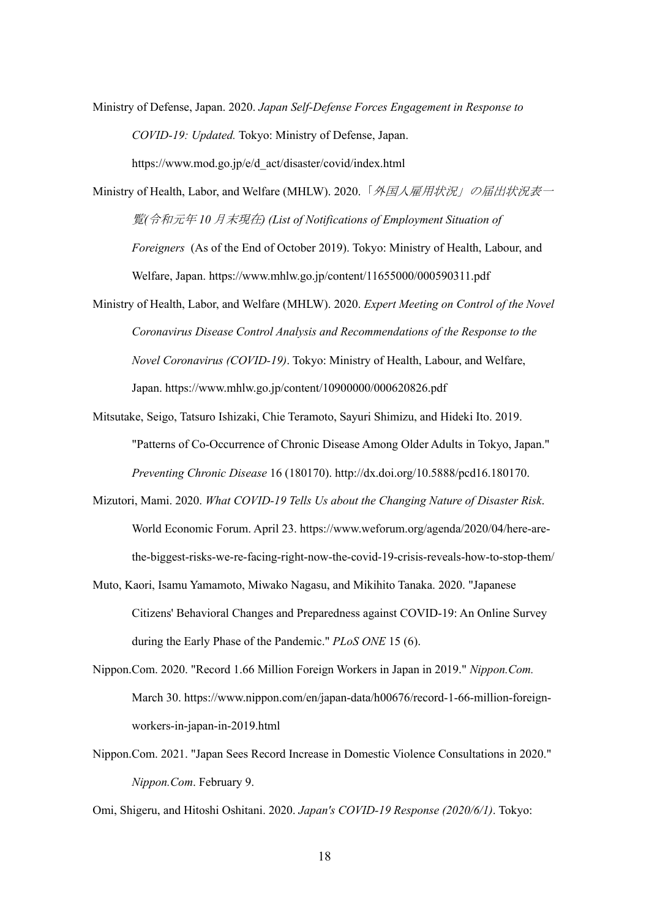Ministry of Defense, Japan. 2020. *Japan Self-Defense Forces Engagement in Response to COVID-19: Updated.* Tokyo: Ministry of Defense, Japan.

https://www.mod.go.jp/e/d\_act/disaster/covid/index.html

Ministry of Health, Labor, and Welfare (MHLW). 2020. 「*外国人雇用状況」の届出状況表*一 覧*(*令和元年 *10* 月末現在*) (List of Notifications of Employment Situation of Foreigners* (As of the End of October 2019). Tokyo: Ministry of Health, Labour, and Welfare, Japan. https://www.mhlw.go.jp/content/11655000/000590311.pdf

Ministry of Health, Labor, and Welfare (MHLW). 2020. *Expert Meeting on Control of the Novel Coronavirus Disease Control Analysis and Recommendations of the Response to the Novel Coronavirus (COVID-19)*. Tokyo: Ministry of Health, Labour, and Welfare, Japan. https://www.mhlw.go.jp/content/10900000/000620826.pdf

Mitsutake, Seigo, Tatsuro Ishizaki, Chie Teramoto, Sayuri Shimizu, and Hideki Ito. 2019. "Patterns of Co-Occurrence of Chronic Disease Among Older Adults in Tokyo, Japan." *Preventing Chronic Disease* 16 (180170). http://dx.doi.org/10.5888/pcd16.180170.

- Mizutori, Mami. 2020. *What COVID-19 Tells Us about the Changing Nature of Disaster Risk*. World Economic Forum. April 23. https://www.weforum.org/agenda/2020/04/here-arethe-biggest-risks-we-re-facing-right-now-the-covid-19-crisis-reveals-how-to-stop-them/
- Muto, Kaori, Isamu Yamamoto, Miwako Nagasu, and Mikihito Tanaka. 2020. "Japanese Citizens' Behavioral Changes and Preparedness against COVID-19: An Online Survey during the Early Phase of the Pandemic." *PLoS ONE* 15 (6).
- Nippon.Com. 2020. "Record 1.66 Million Foreign Workers in Japan in 2019." *Nippon.Com.* March 30. https://www.nippon.com/en/japan-data/h00676/record-1-66-million-foreignworkers-in-japan-in-2019.html
- Nippon.Com. 2021. "Japan Sees Record Increase in Domestic Violence Consultations in 2020." *Nippon.Com*. February 9.

Omi, Shigeru, and Hitoshi Oshitani. 2020. *Japan's COVID-19 Response (2020/6/1)*. Tokyo: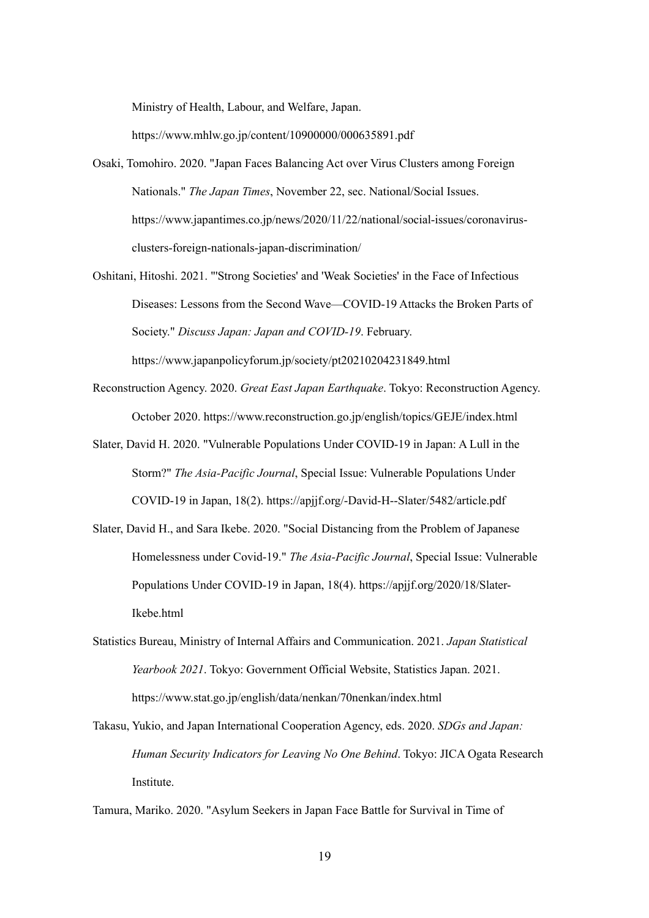Ministry of Health, Labour, and Welfare, Japan.

https://www.mhlw.go.jp/content/10900000/000635891.pdf

- Osaki, Tomohiro. 2020. "Japan Faces Balancing Act over Virus Clusters among Foreign Nationals." *The Japan Times*, November 22, sec. National/Social Issues. https://www.japantimes.co.jp/news/2020/11/22/national/social-issues/coronavirusclusters-foreign-nationals-japan-discrimination/
- Oshitani, Hitoshi. 2021. "'Strong Societies' and 'Weak Societies' in the Face of Infectious Diseases: Lessons from the Second Wave—COVID-19 Attacks the Broken Parts of Society." *Discuss Japan: Japan and COVID-19*. February.

https://www.japanpolicyforum.jp/society/pt20210204231849.html

- Reconstruction Agency. 2020. *Great East Japan Earthquake*. Tokyo: Reconstruction Agency. October 2020. https://www.reconstruction.go.jp/english/topics/GEJE/index.html
- Slater, David H. 2020. "Vulnerable Populations Under COVID-19 in Japan: A Lull in the Storm?" *The Asia-Pacific Journal*, Special Issue: Vulnerable Populations Under COVID-19 in Japan, 18(2). https://apjjf.org/-David-H--Slater/5482/article.pdf
- Slater, David H., and Sara Ikebe. 2020. "Social Distancing from the Problem of Japanese Homelessness under Covid-19." *The Asia-Pacific Journal*, Special Issue: Vulnerable Populations Under COVID-19 in Japan, 18(4). https://apjjf.org/2020/18/Slater-Ikebe.html
- Statistics Bureau, Ministry of Internal Affairs and Communication. 2021. *Japan Statistical Yearbook 2021*. Tokyo: Government Official Website, Statistics Japan. 2021. https://www.stat.go.jp/english/data/nenkan/70nenkan/index.html
- Takasu, Yukio, and Japan International Cooperation Agency, eds. 2020. *SDGs and Japan: Human Security Indicators for Leaving No One Behind*. Tokyo: JICA Ogata Research Institute.

Tamura, Mariko. 2020. "Asylum Seekers in Japan Face Battle for Survival in Time of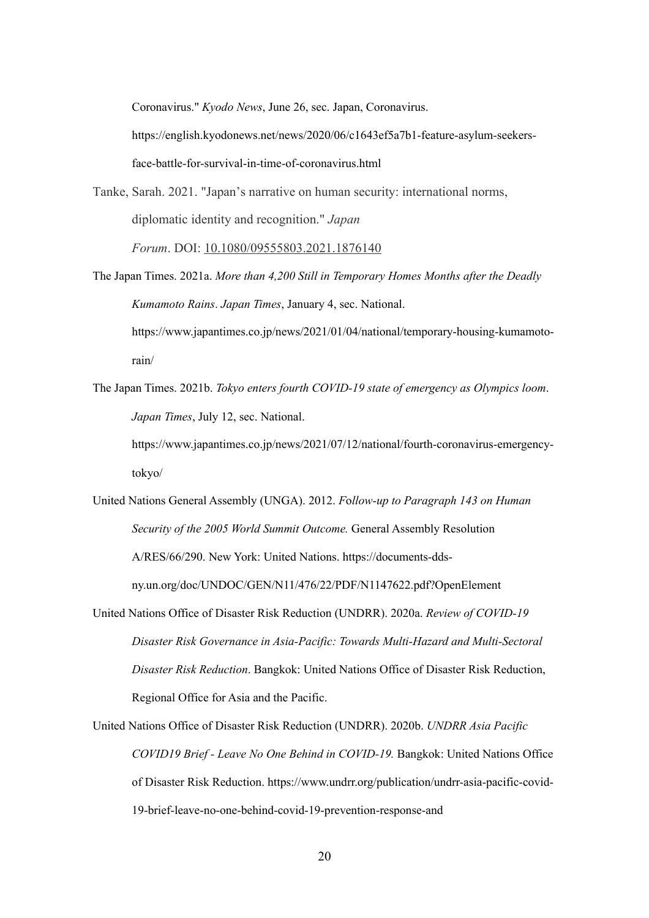Coronavirus." *Kyodo News*, June 26, sec. Japan, Coronavirus.

https://english.kyodonews.net/news/2020/06/c1643ef5a7b1-feature-asylum-seekersface-battle-for-survival-in-time-of-coronavirus.html

Tanke, Sarah. 2021. "Japan's narrative on human security: international norms, diplomatic identity and recognition." *Japan Forum*. DOI: 10.1080/09555803.2021.1876140

The Japan Times. 2021a. *More than 4,200 Still in Temporary Homes Months after the Deadly Kumamoto Rains*. *Japan Times*, January 4, sec. National. https://www.japantimes.co.jp/news/2021/01/04/national/temporary-housing-kumamotorain/

The Japan Times. 2021b. *Tokyo enters fourth COVID-19 state of emergency as Olympics loom*. *Japan Times*, July 12, sec. National.

https://www.japantimes.co.jp/news/2021/07/12/national/fourth-coronavirus-emergencytokyo/

United Nations General Assembly (UNGA). 2012. *F*o*llow-up to Paragraph 143 on Human Security of the 2005 World Summit Outcome.* General Assembly Resolution A/RES/66/290. New York: United Nations. https://documents-ddsny.un.org/doc/UNDOC/GEN/N11/476/22/PDF/N1147622.pdf?OpenElement

United Nations Office of Disaster Risk Reduction (UNDRR). 2020a. *Review of COVID-19 Disaster Risk Governance in Asia-Pacific: Towards Multi-Hazard and Multi-Sectoral Disaster Risk Reduction*. Bangkok: United Nations Office of Disaster Risk Reduction, Regional Office for Asia and the Pacific.

United Nations Office of Disaster Risk Reduction (UNDRR). 2020b. *UNDRR Asia Pacific COVID19 Brief - Leave No One Behind in COVID-19.* Bangkok: United Nations Office of Disaster Risk Reduction. https://www.undrr.org/publication/undrr-asia-pacific-covid-19-brief-leave-no-one-behind-covid-19-prevention-response-and